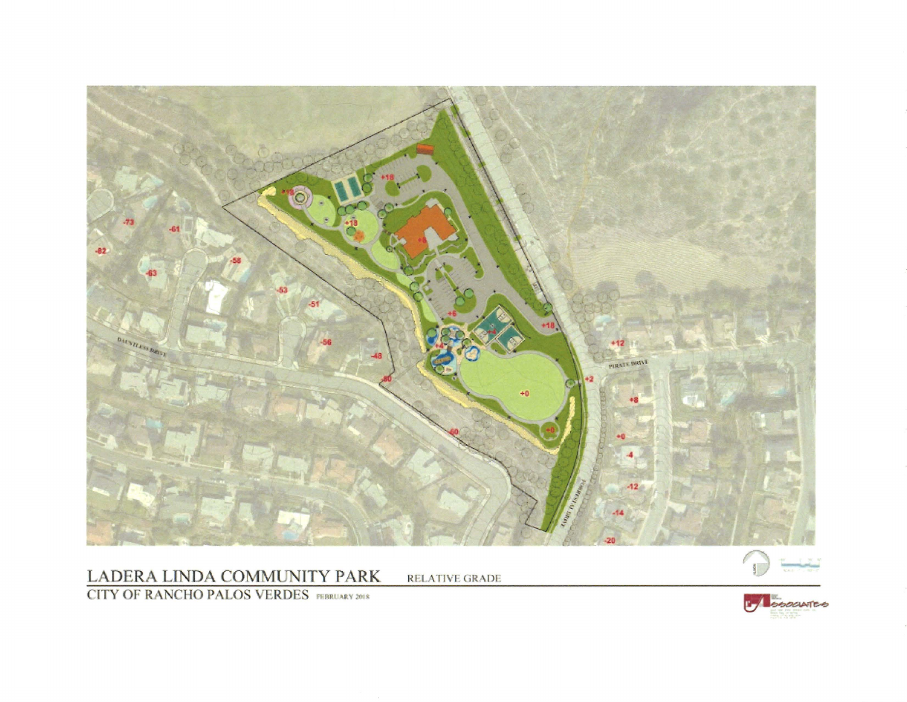

## LADERA LINDA COMMUNITY PARK

**RELATIVE GRADE** 



**CITY OF RANCHO PALOS VERDES** PEBRUARY 2018